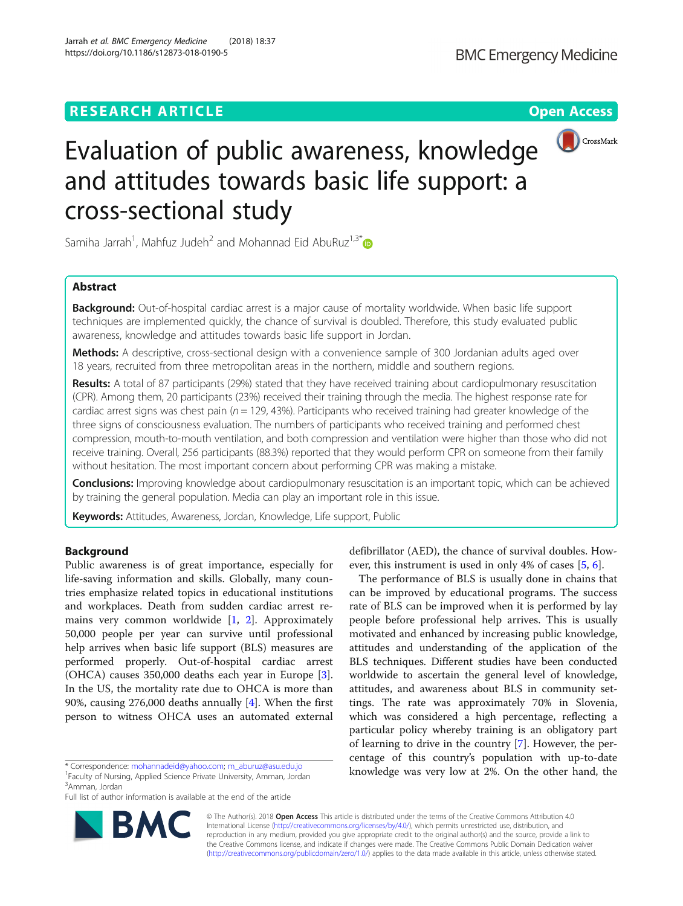## **RESEARCH ARTICLE EXECUTE: CONSIDERING CONSIDERING CONSIDERING CONSIDERING CONSIDERING CONSIDERING CONSIDERING CONSIDERING CONSIDERING CONSIDERING CONSIDERING CONSIDERING CONSIDERING CONSIDERING CONSIDERING CONSIDERING**



# Evaluation of public awareness, knowledge and attitudes towards basic life support: a cross-sectional study

Samiha Jarrah<sup>1</sup>, Mahfuz Judeh<sup>2</sup> and Mohannad Eid AbuRuz<sup>1,3[\\*](http://orcid.org/0000-0002-2773-4405)</sup>

## Abstract

**Background:** Out-of-hospital cardiac arrest is a major cause of mortality worldwide. When basic life support techniques are implemented quickly, the chance of survival is doubled. Therefore, this study evaluated public awareness, knowledge and attitudes towards basic life support in Jordan.

Methods: A descriptive, cross-sectional design with a convenience sample of 300 Jordanian adults aged over 18 years, recruited from three metropolitan areas in the northern, middle and southern regions.

Results: A total of 87 participants (29%) stated that they have received training about cardiopulmonary resuscitation (CPR). Among them, 20 participants (23%) received their training through the media. The highest response rate for cardiac arrest signs was chest pain ( $n = 129, 43\%$ ). Participants who received training had greater knowledge of the three signs of consciousness evaluation. The numbers of participants who received training and performed chest compression, mouth-to-mouth ventilation, and both compression and ventilation were higher than those who did not receive training. Overall, 256 participants (88.3%) reported that they would perform CPR on someone from their family without hesitation. The most important concern about performing CPR was making a mistake.

**Conclusions:** Improving knowledge about cardiopulmonary resuscitation is an important topic, which can be achieved by training the general population. Media can play an important role in this issue.

Keywords: Attitudes, Awareness, Jordan, Knowledge, Life support, Public

## Background

Public awareness is of great importance, especially for life-saving information and skills. Globally, many countries emphasize related topics in educational institutions and workplaces. Death from sudden cardiac arrest remains very common worldwide [[1,](#page-6-0) [2](#page-6-0)]. Approximately 50,000 people per year can survive until professional help arrives when basic life support (BLS) measures are performed properly. Out-of-hospital cardiac arrest (OHCA) causes 350,000 deaths each year in Europe [\[3](#page-6-0)]. In the US, the mortality rate due to OHCA is more than 90%, causing 276,000 deaths annually [\[4\]](#page-6-0). When the first person to witness OHCA uses an automated external

<sup>1</sup> Faculty of Nursing, Applied Science Private University, Amman, Jordan 3 Amman, Jordan

Full list of author information is available at the end of the article



defibrillator (AED), the chance of survival doubles. However, this instrument is used in only 4% of cases [[5,](#page-6-0) [6\]](#page-6-0).

The performance of BLS is usually done in chains that can be improved by educational programs. The success rate of BLS can be improved when it is performed by lay people before professional help arrives. This is usually motivated and enhanced by increasing public knowledge, attitudes and understanding of the application of the BLS techniques. Different studies have been conducted worldwide to ascertain the general level of knowledge, attitudes, and awareness about BLS in community settings. The rate was approximately 70% in Slovenia, which was considered a high percentage, reflecting a particular policy whereby training is an obligatory part of learning to drive in the country [[7](#page-6-0)]. However, the percentage of this country's population with up-to-date knowledge was very low at 2%. On the other hand, the \* Correspondence: [mohannadeid@yahoo.com](mailto:mohannadeid@yahoo.com); [m\\_aburuz@asu.edu.jo](mailto:m_aburuz@asu.edu.jo) <sup>1</sup>

> © The Author(s). 2018 Open Access This article is distributed under the terms of the Creative Commons Attribution 4.0 International License [\(http://creativecommons.org/licenses/by/4.0/](http://creativecommons.org/licenses/by/4.0/)), which permits unrestricted use, distribution, and reproduction in any medium, provided you give appropriate credit to the original author(s) and the source, provide a link to the Creative Commons license, and indicate if changes were made. The Creative Commons Public Domain Dedication waiver [\(http://creativecommons.org/publicdomain/zero/1.0/](http://creativecommons.org/publicdomain/zero/1.0/)) applies to the data made available in this article, unless otherwise stated.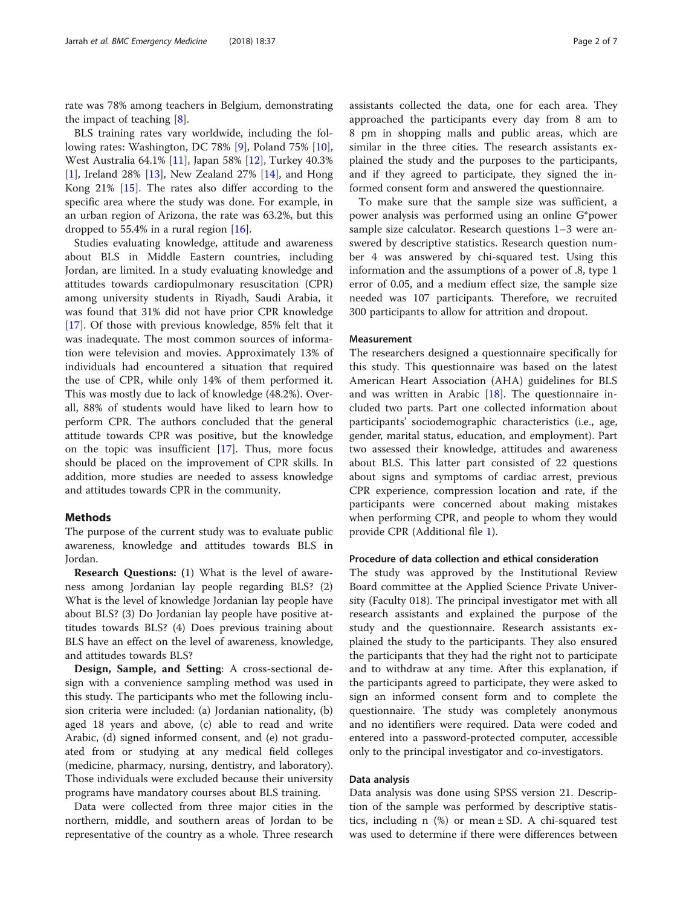rate was 78% among teachers in Belgium, demonstrating the impact of teaching [[8\]](#page-6-0).

BLS training rates vary worldwide, including the following rates: Washington, DC 78% [\[9](#page-6-0)], Poland 75% [\[10](#page-6-0)], West Australia 64.1% [[11](#page-6-0)], Japan 58% [[12\]](#page-6-0), Turkey 40.3% [[1\]](#page-6-0), Ireland 28% [[13\]](#page-6-0), New Zealand 27% [\[14](#page-6-0)], and Hong Kong 21% [[15\]](#page-6-0). The rates also differ according to the specific area where the study was done. For example, in an urban region of Arizona, the rate was 63.2%, but this dropped to 55.4% in a rural region [\[16](#page-6-0)].

Studies evaluating knowledge, attitude and awareness about BLS in Middle Eastern countries, including Jordan, are limited. In a study evaluating knowledge and attitudes towards cardiopulmonary resuscitation (CPR) among university students in Riyadh, Saudi Arabia, it was found that 31% did not have prior CPR knowledge [[17\]](#page-6-0). Of those with previous knowledge, 85% felt that it was inadequate. The most common sources of information were television and movies. Approximately 13% of individuals had encountered a situation that required the use of CPR, while only 14% of them performed it. This was mostly due to lack of knowledge (48.2%). Overall, 88% of students would have liked to learn how to perform CPR. The authors concluded that the general attitude towards CPR was positive, but the knowledge on the topic was insufficient [\[17](#page-6-0)]. Thus, more focus should be placed on the improvement of CPR skills. In addition, more studies are needed to assess knowledge and attitudes towards CPR in the community.

## Methods

The purpose of the current study was to evaluate public awareness, knowledge and attitudes towards BLS in Jordan.

Research Questions: (1) What is the level of awareness among Jordanian lay people regarding BLS? (2) What is the level of knowledge Jordanian lay people have about BLS? (3) Do Jordanian lay people have positive attitudes towards BLS? (4) Does previous training about BLS have an effect on the level of awareness, knowledge, and attitudes towards BLS?

Design, Sample, and Setting: A cross-sectional design with a convenience sampling method was used in this study. The participants who met the following inclusion criteria were included: (a) Jordanian nationality, (b) aged 18 years and above, (c) able to read and write Arabic, (d) signed informed consent, and (e) not graduated from or studying at any medical field colleges (medicine, pharmacy, nursing, dentistry, and laboratory). Those individuals were excluded because their university programs have mandatory courses about BLS training.

Data were collected from three major cities in the northern, middle, and southern areas of Jordan to be representative of the country as a whole. Three research

assistants collected the data, one for each area. They approached the participants every day from 8 am to 8 pm in shopping malls and public areas, which are similar in the three cities. The research assistants explained the study and the purposes to the participants, and if they agreed to participate, they signed the informed consent form and answered the questionnaire.

To make sure that the sample size was sufficient, a power analysis was performed using an online G\*power sample size calculator. Research questions 1–3 were answered by descriptive statistics. Research question number 4 was answered by chi-squared test. Using this information and the assumptions of a power of .8, type 1 error of 0.05, and a medium effect size, the sample size needed was 107 participants. Therefore, we recruited 300 participants to allow for attrition and dropout.

#### Measurement

The researchers designed a questionnaire specifically for this study. This questionnaire was based on the latest American Heart Association (AHA) guidelines for BLS and was written in Arabic [\[18\]](#page-6-0). The questionnaire included two parts. Part one collected information about participants' sociodemographic characteristics (i.e., age, gender, marital status, education, and employment). Part two assessed their knowledge, attitudes and awareness about BLS. This latter part consisted of 22 questions about signs and symptoms of cardiac arrest, previous CPR experience, compression location and rate, if the participants were concerned about making mistakes when performing CPR, and people to whom they would provide CPR (Additional file [1\)](#page-5-0).

#### Procedure of data collection and ethical consideration

The study was approved by the Institutional Review Board committee at the Applied Science Private University (Faculty 018). The principal investigator met with all research assistants and explained the purpose of the study and the questionnaire. Research assistants explained the study to the participants. They also ensured the participants that they had the right not to participate and to withdraw at any time. After this explanation, if the participants agreed to participate, they were asked to sign an informed consent form and to complete the questionnaire. The study was completely anonymous and no identifiers were required. Data were coded and entered into a password-protected computer, accessible only to the principal investigator and co-investigators.

#### Data analysis

Data analysis was done using SPSS version 21. Description of the sample was performed by descriptive statistics, including n  $(\%)$  or mean  $\pm$  SD. A chi-squared test was used to determine if there were differences between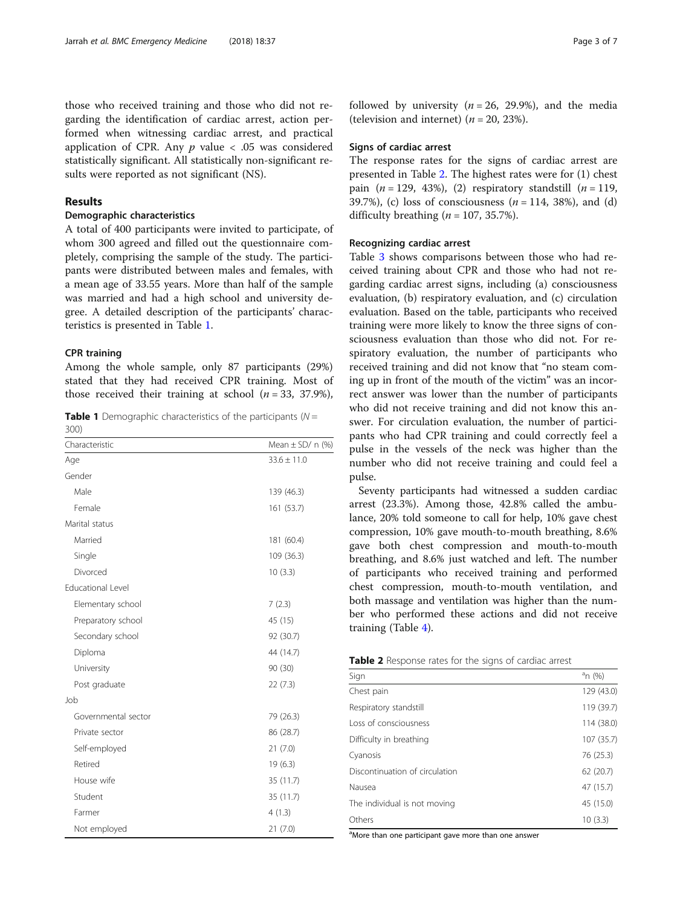those who received training and those who did not regarding the identification of cardiac arrest, action performed when witnessing cardiac arrest, and practical application of CPR. Any  $p$  value  $\lt$  .05 was considered statistically significant. All statistically non-significant results were reported as not significant (NS).

## Results

## Demographic characteristics

A total of 400 participants were invited to participate, of whom 300 agreed and filled out the questionnaire completely, comprising the sample of the study. The participants were distributed between males and females, with a mean age of 33.55 years. More than half of the sample was married and had a high school and university degree. A detailed description of the participants' characteristics is presented in Table 1.

#### CPR training

300)

Among the whole sample, only 87 participants (29%) stated that they had received CPR training. Most of those received their training at school  $(n = 33, 37.9\%)$ ,

**Table 1** Demographic characteristics of the participants ( $N =$ 

| Characteristic           | Mean $\pm$ SD/ n (%) |
|--------------------------|----------------------|
| Age                      | $33.6 \pm 11.0$      |
| Gender                   |                      |
| Male                     | 139 (46.3)           |
| Female                   | 161 (53.7)           |
| Marital status           |                      |
| Married                  | 181 (60.4)           |
| Single                   | 109 (36.3)           |
| Divorced                 | 10(3.3)              |
| <b>Educational Level</b> |                      |
| Elementary school        | 7(2.3)               |
| Preparatory school       | 45 (15)              |
| Secondary school         | 92 (30.7)            |
| Diploma                  | 44 (14.7)            |
| University               | 90 (30)              |
| Post graduate            | 22(7.3)              |
| Job                      |                      |
| Governmental sector      | 79 (26.3)            |
| Private sector           | 86 (28.7)            |
| Self-employed            | 21(7.0)              |
| Retired                  | 19(6.3)              |
| House wife               | 35 (11.7)            |
| Student                  | 35 (11.7)            |
| Farmer                   | 4(1.3)               |
| Not employed             | 21(7.0)              |
|                          |                      |

## Signs of cardiac arrest

The response rates for the signs of cardiac arrest are presented in Table 2. The highest rates were for (1) chest pain  $(n = 129, 43\%)$ , (2) respiratory standstill  $(n = 119,$ 39.7%), (c) loss of consciousness  $(n = 114, 38\%)$ , and (d) difficulty breathing  $(n = 107, 35.7\%)$ .

#### Recognizing cardiac arrest

Table [3](#page-3-0) shows comparisons between those who had received training about CPR and those who had not regarding cardiac arrest signs, including (a) consciousness evaluation, (b) respiratory evaluation, and (c) circulation evaluation. Based on the table, participants who received training were more likely to know the three signs of consciousness evaluation than those who did not. For respiratory evaluation, the number of participants who received training and did not know that "no steam coming up in front of the mouth of the victim" was an incorrect answer was lower than the number of participants who did not receive training and did not know this answer. For circulation evaluation, the number of participants who had CPR training and could correctly feel a pulse in the vessels of the neck was higher than the number who did not receive training and could feel a pulse.

Seventy participants had witnessed a sudden cardiac arrest (23.3%). Among those, 42.8% called the ambulance, 20% told someone to call for help, 10% gave chest compression, 10% gave mouth-to-mouth breathing, 8.6% gave both chest compression and mouth-to-mouth breathing, and 8.6% just watched and left. The number of participants who received training and performed chest compression, mouth-to-mouth ventilation, and both massage and ventilation was higher than the number who performed these actions and did not receive training (Table [4\)](#page-4-0).

| Table 2 Response rates for the signs of cardiac arrest |  |
|--------------------------------------------------------|--|
|--------------------------------------------------------|--|

| Sign                           | $n_{\text{n}}(\%)$ |
|--------------------------------|--------------------|
| Chest pain                     | 129 (43.0)         |
| Respiratory standstill         | 119 (39.7)         |
| Loss of consciousness          | 114 (38.0)         |
| Difficulty in breathing        | 107 (35.7)         |
| Cyanosis                       | 76 (25.3)          |
| Discontinuation of circulation | 62 (20.7)          |
| Nausea                         | 47 (15.7)          |
| The individual is not moving   | 45 (15.0)          |
| Others                         | 10(3.3)            |

<sup>a</sup>More than one participant gave more than one answer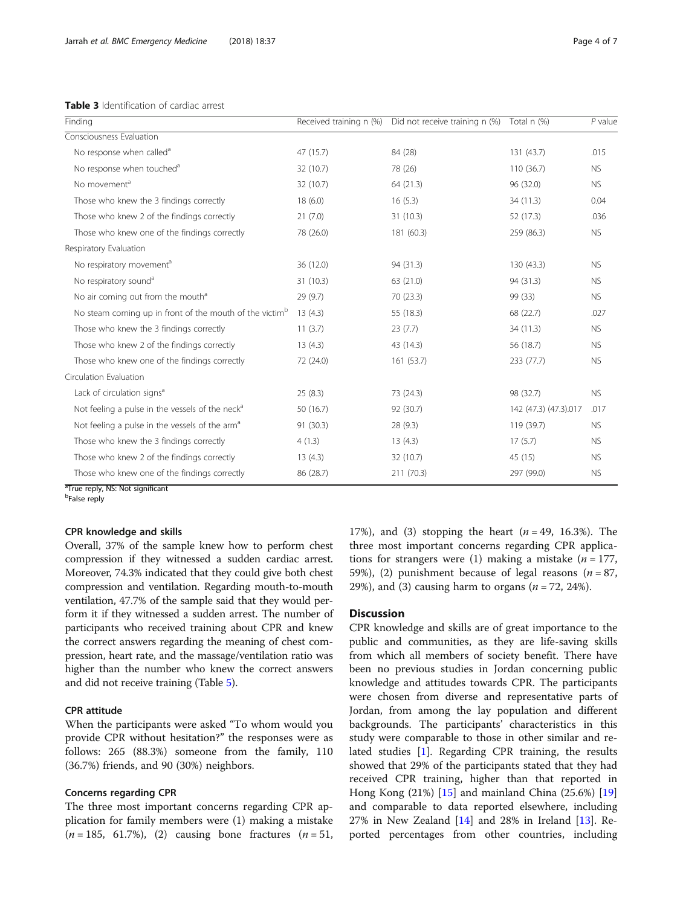## <span id="page-3-0"></span>Table 3 Identification of cardiac arrest

| Finding                                                             | Received training n (%) | Did not receive training n (%) | Total n (%)           | $P$ value |
|---------------------------------------------------------------------|-------------------------|--------------------------------|-----------------------|-----------|
| Consciousness Evaluation                                            |                         |                                |                       |           |
| No response when called <sup>a</sup>                                | 47 (15.7)               | 84 (28)                        | 131 (43.7)            | .015      |
| No response when touched <sup>a</sup>                               | 32 (10.7)               | 78 (26)                        | 110(36.7)             | <b>NS</b> |
| No movement <sup>a</sup>                                            | 32 (10.7)               | 64(21.3)                       | 96 (32.0)             | <b>NS</b> |
| Those who knew the 3 findings correctly                             | 18(6.0)                 | 16(5.3)                        | 34 (11.3)             | 0.04      |
| Those who knew 2 of the findings correctly                          | 21(7.0)                 | 31(10.3)                       | 52 (17.3)             | .036      |
| Those who knew one of the findings correctly                        | 78 (26.0)               | 181 (60.3)                     | 259 (86.3)            | <b>NS</b> |
| Respiratory Evaluation                                              |                         |                                |                       |           |
| No respiratory movement <sup>a</sup>                                | 36 (12.0)               | 94 (31.3)                      | 130 (43.3)            | <b>NS</b> |
| No respiratory sound <sup>a</sup>                                   | 31 (10.3)               | 63 (21.0)                      | 94 (31.3)             | <b>NS</b> |
| No air coming out from the mouth <sup>a</sup>                       | 29(9.7)                 | 70 (23.3)                      | 99 (33)               | <b>NS</b> |
| No steam coming up in front of the mouth of the victim <sup>b</sup> | 13(4.3)                 | 55 (18.3)                      | 68 (22.7)             | .027      |
| Those who knew the 3 findings correctly                             | 11(3.7)                 | 23(7.7)                        | 34 (11.3)             | <b>NS</b> |
| Those who knew 2 of the findings correctly                          | 13(4.3)                 | 43 (14.3)                      | 56 (18.7)             | <b>NS</b> |
| Those who knew one of the findings correctly                        | 72 (24.0)               | 161(53.7)                      | 233 (77.7)            | <b>NS</b> |
| Circulation Evaluation                                              |                         |                                |                       |           |
| Lack of circulation signs <sup>a</sup>                              | 25(8.3)                 | 73 (24.3)                      | 98 (32.7)             | <b>NS</b> |
| Not feeling a pulse in the vessels of the neck <sup>a</sup>         | 50 (16.7)               | 92 (30.7)                      | 142 (47.3) (47.3).017 | .017      |
| Not feeling a pulse in the vessels of the arm <sup>a</sup>          | 91 (30.3)               | 28 (9.3)                       | 119 (39.7)            | <b>NS</b> |
| Those who knew the 3 findings correctly                             | 4(1.3)                  | 13(4.3)                        | 17(5.7)               | <b>NS</b> |
| Those who knew 2 of the findings correctly                          | 13(4.3)                 | 32 (10.7)                      | 45 (15)               | <b>NS</b> |
| Those who knew one of the findings correctly                        | 86 (28.7)               | 211 (70.3)                     | 297 (99.0)            | <b>NS</b> |

<sup>a</sup>True reply, NS: Not significant

<sup>b</sup>False reply

#### CPR knowledge and skills

Overall, 37% of the sample knew how to perform chest compression if they witnessed a sudden cardiac arrest. Moreover, 74.3% indicated that they could give both chest compression and ventilation. Regarding mouth-to-mouth ventilation, 47.7% of the sample said that they would perform it if they witnessed a sudden arrest. The number of participants who received training about CPR and knew the correct answers regarding the meaning of chest compression, heart rate, and the massage/ventilation ratio was higher than the number who knew the correct answers and did not receive training (Table [5](#page-4-0)).

## CPR attitude

When the participants were asked "To whom would you provide CPR without hesitation?" the responses were as follows: 265 (88.3%) someone from the family, 110 (36.7%) friends, and 90 (30%) neighbors.

#### Concerns regarding CPR

The three most important concerns regarding CPR application for family members were (1) making a mistake  $(n = 185, 61.7\%)$ , (2) causing bone fractures  $(n = 51,$ 

17%), and (3) stopping the heart  $(n = 49, 16.3)$ . The three most important concerns regarding CPR applications for strangers were (1) making a mistake  $(n = 177)$ , 59%), (2) punishment because of legal reasons ( $n = 87$ , 29%), and (3) causing harm to organs  $(n = 72, 24%)$ .

## **Discussion**

CPR knowledge and skills are of great importance to the public and communities, as they are life-saving skills from which all members of society benefit. There have been no previous studies in Jordan concerning public knowledge and attitudes towards CPR. The participants were chosen from diverse and representative parts of Jordan, from among the lay population and different backgrounds. The participants' characteristics in this study were comparable to those in other similar and related studies [\[1\]](#page-6-0). Regarding CPR training, the results showed that 29% of the participants stated that they had received CPR training, higher than that reported in Hong Kong (21%) [\[15](#page-6-0)] and mainland China (25.6%) [[19](#page-6-0)] and comparable to data reported elsewhere, including  $27\%$  in New Zealand [\[14\]](#page-6-0) and 28% in Ireland [\[13](#page-6-0)]. Reported percentages from other countries, including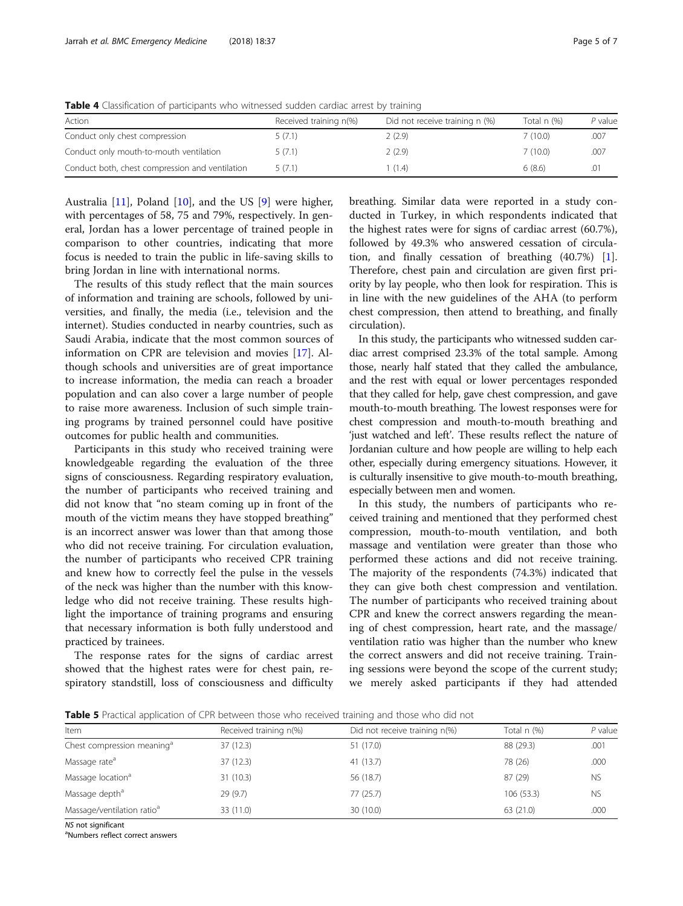| <b>TWARD</b> T CRESSING AND TO DURING DUTIES WITH WITH SECONDALITY CONDITION OF A RESIDENCE. |                        |                                |             |         |  |
|----------------------------------------------------------------------------------------------|------------------------|--------------------------------|-------------|---------|--|
| Action                                                                                       | Received training n(%) | Did not receive training n (%) | Total n (%) | P value |  |
| Conduct only chest compression                                                               | 5(7.1)                 | 2(2.9)                         | 7(10.0)     | .007    |  |
| Conduct only mouth-to-mouth ventilation                                                      | 5(7.1)                 | 2(2.9)                         | 7(10.0)     | .007    |  |
| Conduct both, chest compression and ventilation                                              | 5(7.1)                 | (1.4)                          | 6(8.6)      |         |  |

<span id="page-4-0"></span>**Table 4** Classification of participants who witnessed sudden cardiac arrest by training

Australia [\[11](#page-6-0)], Poland [[10](#page-6-0)], and the US [\[9](#page-6-0)] were higher, with percentages of 58, 75 and 79%, respectively. In general, Jordan has a lower percentage of trained people in comparison to other countries, indicating that more focus is needed to train the public in life-saving skills to bring Jordan in line with international norms.

The results of this study reflect that the main sources of information and training are schools, followed by universities, and finally, the media (i.e., television and the internet). Studies conducted in nearby countries, such as Saudi Arabia, indicate that the most common sources of information on CPR are television and movies [[17](#page-6-0)]. Although schools and universities are of great importance to increase information, the media can reach a broader population and can also cover a large number of people to raise more awareness. Inclusion of such simple training programs by trained personnel could have positive outcomes for public health and communities.

Participants in this study who received training were knowledgeable regarding the evaluation of the three signs of consciousness. Regarding respiratory evaluation, the number of participants who received training and did not know that "no steam coming up in front of the mouth of the victim means they have stopped breathing" is an incorrect answer was lower than that among those who did not receive training. For circulation evaluation, the number of participants who received CPR training and knew how to correctly feel the pulse in the vessels of the neck was higher than the number with this knowledge who did not receive training. These results highlight the importance of training programs and ensuring that necessary information is both fully understood and practiced by trainees.

The response rates for the signs of cardiac arrest showed that the highest rates were for chest pain, respiratory standstill, loss of consciousness and difficulty breathing. Similar data were reported in a study conducted in Turkey, in which respondents indicated that the highest rates were for signs of cardiac arrest (60.7%), followed by 49.3% who answered cessation of circulation, and finally cessation of breathing (40.7%) [\[1](#page-6-0)]. Therefore, chest pain and circulation are given first priority by lay people, who then look for respiration. This is in line with the new guidelines of the AHA (to perform chest compression, then attend to breathing, and finally circulation).

In this study, the participants who witnessed sudden cardiac arrest comprised 23.3% of the total sample. Among those, nearly half stated that they called the ambulance, and the rest with equal or lower percentages responded that they called for help, gave chest compression, and gave mouth-to-mouth breathing. The lowest responses were for chest compression and mouth-to-mouth breathing and 'just watched and left'. These results reflect the nature of Jordanian culture and how people are willing to help each other, especially during emergency situations. However, it is culturally insensitive to give mouth-to-mouth breathing, especially between men and women.

In this study, the numbers of participants who received training and mentioned that they performed chest compression, mouth-to-mouth ventilation, and both massage and ventilation were greater than those who performed these actions and did not receive training. The majority of the respondents (74.3%) indicated that they can give both chest compression and ventilation. The number of participants who received training about CPR and knew the correct answers regarding the meaning of chest compression, heart rate, and the massage/ ventilation ratio was higher than the number who knew the correct answers and did not receive training. Training sessions were beyond the scope of the current study; we merely asked participants if they had attended

**Table 5** Practical application of CPR between those who received training and those who did not

| Item                                   | Received training n(%) | Did not receive training n(%) | Total n (%) | $P$ value |  |
|----------------------------------------|------------------------|-------------------------------|-------------|-----------|--|
| Chest compression meaning <sup>a</sup> | 37(12.3)               | 51 (17.0)                     | 88 (29.3)   | .001      |  |
| Massage rate <sup>a</sup>              | 37(12.3)               | 41(13.7)                      | 78 (26)     | .000      |  |
| Massage location <sup>a</sup>          | 31(10.3)               | 56 (18.7)                     | 87(29)      | <b>NS</b> |  |
| Massage depth <sup>a</sup>             | 29(9.7)                | 77(25.7)                      | 106(53.3)   | <b>NS</b> |  |
| Massage/ventilation ratio <sup>a</sup> | 33 (11.0)              | 30(10.0)                      | 63(21.0)    | .000      |  |

NS not significant

<sup>a</sup>Numbers reflect correct answers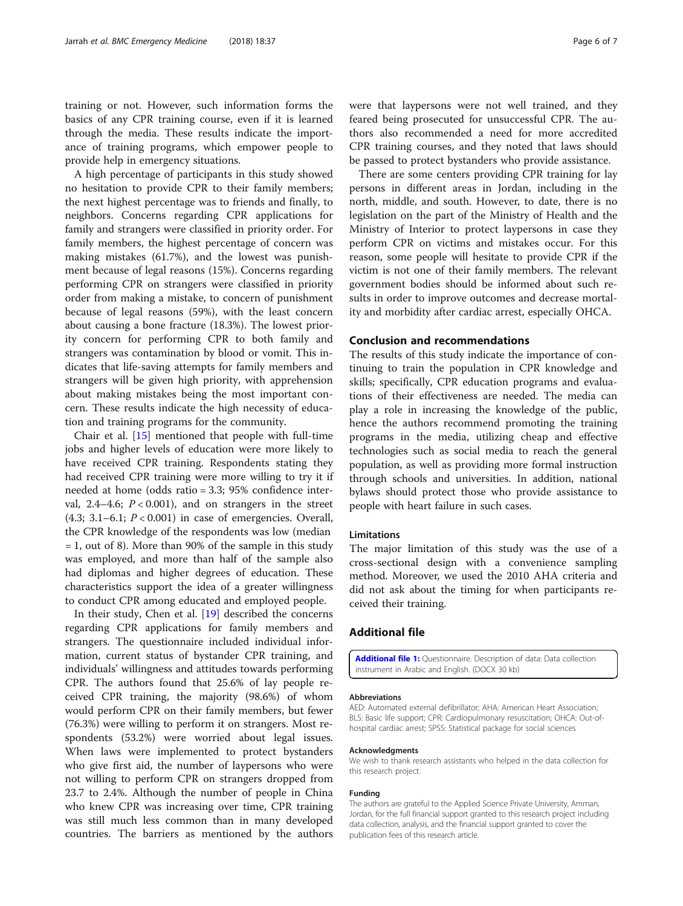<span id="page-5-0"></span>training or not. However, such information forms the basics of any CPR training course, even if it is learned through the media. These results indicate the importance of training programs, which empower people to provide help in emergency situations.

A high percentage of participants in this study showed no hesitation to provide CPR to their family members; the next highest percentage was to friends and finally, to neighbors. Concerns regarding CPR applications for family and strangers were classified in priority order. For family members, the highest percentage of concern was making mistakes (61.7%), and the lowest was punishment because of legal reasons (15%). Concerns regarding performing CPR on strangers were classified in priority order from making a mistake, to concern of punishment because of legal reasons (59%), with the least concern about causing a bone fracture (18.3%). The lowest priority concern for performing CPR to both family and strangers was contamination by blood or vomit. This indicates that life-saving attempts for family members and strangers will be given high priority, with apprehension about making mistakes being the most important concern. These results indicate the high necessity of education and training programs for the community.

Chair et al. [[15](#page-6-0)] mentioned that people with full-time jobs and higher levels of education were more likely to have received CPR training. Respondents stating they had received CPR training were more willing to try it if needed at home (odds ratio = 3.3; 95% confidence interval,  $2.4-4.6$ ;  $P < 0.001$ ), and on strangers in the street  $(4.3; 3.1-6.1; P < 0.001)$  in case of emergencies. Overall, the CPR knowledge of the respondents was low (median = 1, out of 8). More than 90% of the sample in this study was employed, and more than half of the sample also had diplomas and higher degrees of education. These characteristics support the idea of a greater willingness to conduct CPR among educated and employed people.

In their study, Chen et al. [[19\]](#page-6-0) described the concerns regarding CPR applications for family members and strangers. The questionnaire included individual information, current status of bystander CPR training, and individuals' willingness and attitudes towards performing CPR. The authors found that 25.6% of lay people received CPR training, the majority (98.6%) of whom would perform CPR on their family members, but fewer (76.3%) were willing to perform it on strangers. Most respondents (53.2%) were worried about legal issues. When laws were implemented to protect bystanders who give first aid, the number of laypersons who were not willing to perform CPR on strangers dropped from 23.7 to 2.4%. Although the number of people in China who knew CPR was increasing over time, CPR training was still much less common than in many developed countries. The barriers as mentioned by the authors

were that laypersons were not well trained, and they feared being prosecuted for unsuccessful CPR. The authors also recommended a need for more accredited CPR training courses, and they noted that laws should be passed to protect bystanders who provide assistance.

There are some centers providing CPR training for lay persons in different areas in Jordan, including in the north, middle, and south. However, to date, there is no legislation on the part of the Ministry of Health and the Ministry of Interior to protect laypersons in case they perform CPR on victims and mistakes occur. For this reason, some people will hesitate to provide CPR if the victim is not one of their family members. The relevant government bodies should be informed about such results in order to improve outcomes and decrease mortality and morbidity after cardiac arrest, especially OHCA.

#### Conclusion and recommendations

The results of this study indicate the importance of continuing to train the population in CPR knowledge and skills; specifically, CPR education programs and evaluations of their effectiveness are needed. The media can play a role in increasing the knowledge of the public, hence the authors recommend promoting the training programs in the media, utilizing cheap and effective technologies such as social media to reach the general population, as well as providing more formal instruction through schools and universities. In addition, national bylaws should protect those who provide assistance to people with heart failure in such cases.

#### Limitations

The major limitation of this study was the use of a cross-sectional design with a convenience sampling method. Moreover, we used the 2010 AHA criteria and did not ask about the timing for when participants received their training.

## Additional file

[Additional file 1:](https://doi.org/10.1186/s12873-018-0190-5) Questionnaire. Description of data: Data collection instrument in Arabic and English. (DOCX 30 kb)

#### Abbreviations

AED: Automated external defibrillator; AHA: American Heart Association; BLS: Basic life support; CPR: Cardiopulmonary resuscitation; OHCA: Out-ofhospital cardiac arrest; SPSS: Statistical package for social sciences

#### Acknowledgments

We wish to thank research assistants who helped in the data collection for this research project.

#### Funding

The authors are grateful to the Applied Science Private University, Amman, Jordan, for the full financial support granted to this research project including data collection, analysis, and the financial support granted to cover the publication fees of this research article.